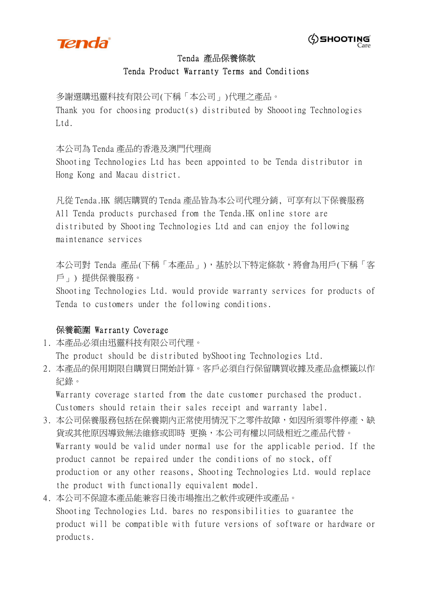

#### Tenda 產品保養條款

## Tenda Product Warranty Terms and Conditions

多謝選購迅靈科技有限公司(下稱「本公司」)代理之產品。 Thank you for choosing product(s) distributed by Shoooting Technologies Ltd.

#### 本公司為 Tenda 產品的香港及澳門代理商

Shooting Technologies Ltd has been appointed to be Tenda distributor in Hong Kong and Macau district.

凡從 Tenda.HK 網店購買的 Tenda 產品皆為本公司代理分銷, 可享有以下保養服務 All Tenda products purchased from the Tenda.HK online store are distributed by Shooting Technologies Ltd and can enjoy the following maintenance services

本公司對 Tenda 產品(下稱「本產品」),基於以下特定條款,將會為用戶(下稱「客 戶」) 提供保養服務。

Shooting Technologies Ltd. would provide warranty services for products of Tenda to customers under the following conditions.

# 保養範圍 Warranty Coverage

1. 本產品必須由迅靈科技有限公司代理。

The product should be distributed byShooting Technologies Ltd.

2. 本產品的保用期限自購買日開始計算。客戶必須自行保留購買收據及產品盒標籤以作 紀錄。

Warranty coverage started from the date customer purchased the product. Customers should retain their sales receipt and warranty label.

- 3. 本公司保養服務包括在保養期内正常使用情況下之零件故障,如因所須零件停產、缺 貨或其他原因導致無法維修或即時 更換,本公司有權以同級相近之產品代替。 Warranty would be valid under normal use for the applicable period. If the product cannot be repaired under the conditions of no stock, off production or any other reasons, Shooting Technologies Ltd. would replace the product with functionally equivalent model.
- 4. 本公司不保證本產品能兼容日後市場推出之軟件或硬件或產品。 Shooting Technologies Ltd. bares no responsibilities to guarantee the product will be compatible with future versions of software or hardware or products.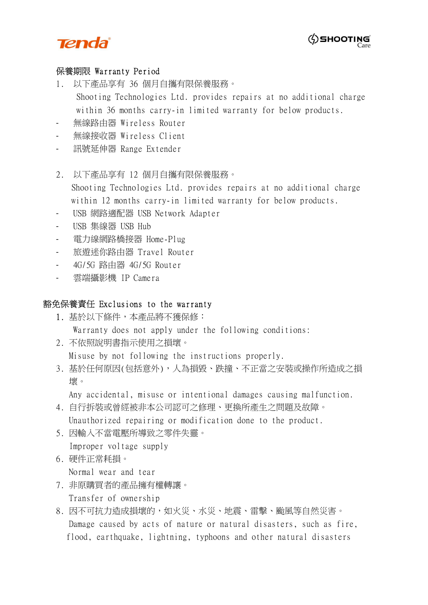

# 保養期限 Warranty Period

- 1. 以下產品享有 36 個月自攜有限保養服務。 Shooting Technologies Ltd. provides repairs at no additional charge within 36 months carry-in limited warranty for below products.
- 無線路由器 Wireless Router
- 無線接收器 Wireless Client
- 訊號延伸器 Range Extender
- 2. 以下產品享有 12 個月自攜有限保養服務。
	- Shooting Technologies Ltd. provides repairs at no additional charge within 12 months carry-in limited warranty for below products.
- USB 網路適配器 USB Network Adapter
- USB 集線器 USB Hub
- 電力線網路橋接器 Home-Plug
- 旅遊迷你路由器 Travel Router
- 4G/5G 路由器 4G/5G Router
- 雲端攝影機 IP Camera

### 豁免保養責任 Exclusions to the warranty

- 1. 基於以下條件,本產品將不獲保修: Warranty does not apply under the following conditions:
- 2. 不依照說明書指示使用之損壞。 Misuse by not following the instructions properly.
- 3. 基於任何原因(包括意外),人為損毀、跌撞、不正當之安裝或操作所造成之損 壞。

Any accidental, misuse or intentional damages causing malfunction.

- 4. 自行拆裝或曾經被非本公司認可之修理、更換所產生之問題及故障。 Unauthorized repairing or modification done to the product.
- 5. 因輸入不當電壓所導致之零件失靈。

Improper voltage supply

6. 硬件正常耗損。

Normal wear and tear

- 7. 非原購買者的產品擁有權轉讓。 Transfer of ownership
- 8. 因不可抗力造成損壞的,如火災、水災、地震、雷擊、颱風等自然災害。 Damage caused by acts of nature or natural disasters, such as fire, flood, earthquake, lightning, typhoons and other natural disasters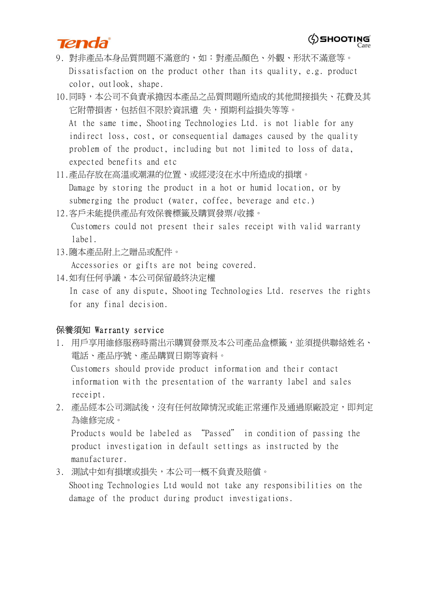# **Tenda**

- 9. 對非產品本身品質問題不滿意的,如:對產品顏色、外觀、形狀不滿意等。 Dissatisfaction on the product other than its quality, e.g. product color, outlook, shape.
- 10.同時,本公司不負責承擔因本產品之品質問題所造成的其他間接損失、花費及其 它附帶損害,包括但不限於資訊遺 失,預期利益損失等等。 At the same time, Shooting Technologies Ltd. is not liable for any indirect loss, cost, or consequential damages caused by the quality problem of the product, including but not limited to loss of data, expected benefits and etc
- 11.產品存放在高溫或潮濕的位置、或經浸沒在水中所造成的損壞。 Damage by storing the product in a hot or humid location, or by submerging the product (water, coffee, beverage and etc.)
- 12.客戶未能提供產品有效保養標籤及購買發票/收據。

Customers could not present their sales receipt with valid warranty label.

13.隨本產品附上之贈品或配件。

Accessories or gifts are not being covered.

14.如有任何爭議,本公司保留最終決定權

In case of any dispute, Shooting Technologies Ltd. reserves the rights for any final decision.

# 保養須知 Warranty service

1. 用戶享用維修服務時需出示購買發票及本公司產品盒標籤,並須提供聯絡姓名、 電話、產品序號、產品購買日期等資料。 Customers should provide product information and their contact

information with the presentation of the warranty label and sales receipt.

2. 產品經本公司測試後,沒有任何故障情況或能正常運作及通過原廠設定,即判定 為維修完成。

Products would be labeled as "Passed" in condition of passing the product investigation in default settings as instructed by the manufacturer.

3. 測試中如有損壞或損失,本公司一概不負責及賠償。

Shooting Technologies Ltd would not take any responsibilities on the damage of the product during product investigations.